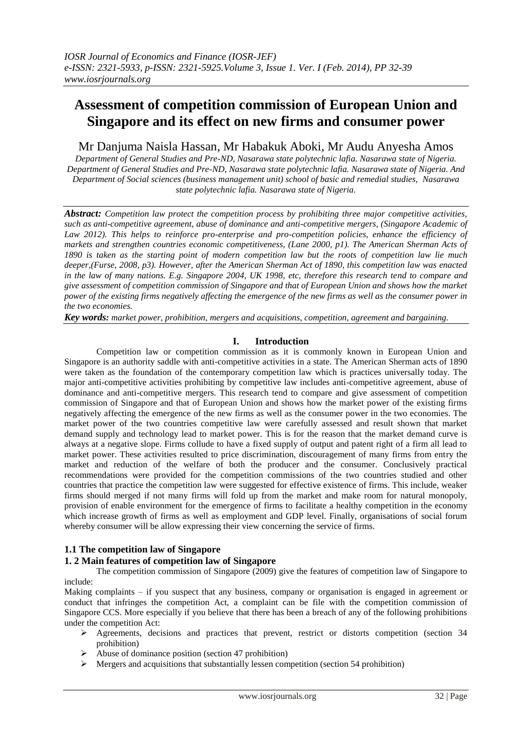# **Assessment of competition commission of European Union and Singapore and its effect on new firms and consumer power**

# Mr Danjuma Naisla Hassan, Mr Habakuk Aboki, Mr Audu Anyesha Amos

*Department of General Studies and Pre-ND, Nasarawa state polytechnic lafia. Nasarawa state of Nigeria. Department of General Studies and Pre-ND, Nasarawa state polytechnic lafia. Nasarawa state of Nigeria. And Department of Social sciences (business management unit) school of basic and remedial studies, Nasarawa state polytechnic lafia. Nasarawa state of Nigeria.*

*Abstract: Competition law protect the competition process by prohibiting three major competitive activities, such as anti-competitive agreement, abuse of dominance and anti-competitive mergers, (Singapore Academic of Law 2012). This helps to reinforce pro-enterprise and pro-competition policies, enhance the efficiency of markets and strengthen countries economic competitiveness, (Lane 2000, p1). The American Sherman Acts of 1890 is taken as the starting point of modern competition law but the roots of competition law lie much deeper,(Furse, 2008, p3). However, after the American Sherman Act of 1890, this competition law was enacted in the law of many nations. E.g. Singapore 2004, UK 1998, etc, therefore this research tend to compare and give assessment of competition commission of Singapore and that of European Union and shows how the market power of the existing firms negatively affecting the emergence of the new firms as well as the consumer power in the two economies.*

*Key words: market power, prohibition, mergers and acquisitions, competition, agreement and bargaining.*

# **I. Introduction**

Competition law or competition commission as it is commonly known in European Union and Singapore is an authority saddle with anti-competitive activities in a state. The American Sherman acts of 1890 were taken as the foundation of the contemporary competition law which is practices universally today. The major anti-competitive activities prohibiting by competitive law includes anti-competitive agreement, abuse of dominance and anti-competitive mergers. This research tend to compare and give assessment of competition commission of Singapore and that of European Union and shows how the market power of the existing firms negatively affecting the emergence of the new firms as well as the consumer power in the two economies. The market power of the two countries competitive law were carefully assessed and result shown that market demand supply and technology lead to market power. This is for the reason that the market demand curve is always at a negative slope. Firms collude to have a fixed supply of output and patent right of a firm all lead to market power. These activities resulted to price discrimination, discouragement of many firms from entry the market and reduction of the welfare of both the producer and the consumer. Conclusively practical recommendations were provided for the competition commissions of the two countries studied and other countries that practice the competition law were suggested for effective existence of firms. This include, weaker firms should merged if not many firms will fold up from the market and make room for natural monopoly, provision of enable environment for the emergence of firms to facilitate a healthy competition in the economy which increase growth of firms as well as employment and GDP level. Finally, organisations of social forum whereby consumer will be allow expressing their view concerning the service of firms.

# **1.1 The competition law of Singapore**

# **1. 2 Main features of competition law of Singapore**

The competition commission of Singapore (2009) give the features of competition law of Singapore to include:

Making complaints – if you suspect that any business, company or organisation is engaged in agreement or conduct that infringes the competition Act, a complaint can be file with the competition commission of Singapore CCS. More especially if you believe that there has been a breach of any of the following prohibitions under the competition Act:

- $\triangleright$  Agreements, decisions and practices that prevent, restrict or distorts competition (section 34) prohibition)
- $\triangleright$  Abuse of dominance position (section 47 prohibition)
- $\triangleright$  Mergers and acquisitions that substantially lessen competition (section 54 prohibition)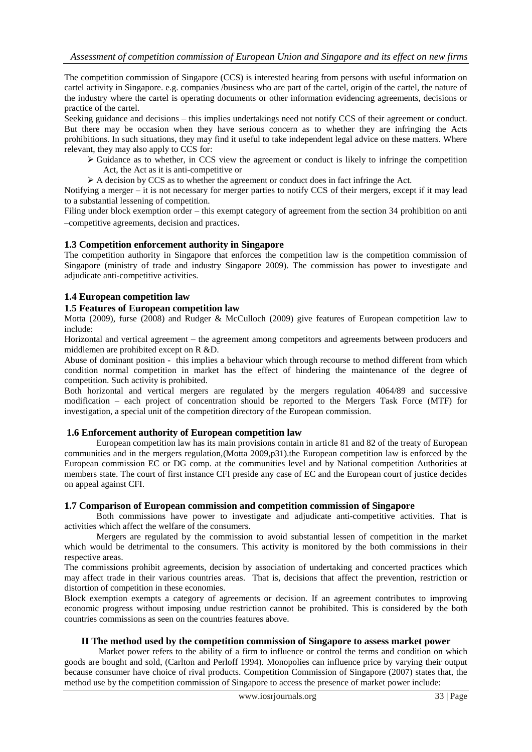The competition commission of Singapore (CCS) is interested hearing from persons with useful information on cartel activity in Singapore. e.g. companies /business who are part of the cartel, origin of the cartel, the nature of the industry where the cartel is operating documents or other information evidencing agreements, decisions or practice of the cartel.

Seeking guidance and decisions – this implies undertakings need not notify CCS of their agreement or conduct. But there may be occasion when they have serious concern as to whether they are infringing the Acts prohibitions. In such situations, they may find it useful to take independent legal advice on these matters. Where relevant, they may also apply to CCS for:

- $\triangleright$  Guidance as to whether, in CCS view the agreement or conduct is likely to infringe the competition Act, the Act as it is anti-competitive or
- $\triangleright$  A decision by CCS as to whether the agreement or conduct does in fact infringe the Act.

Notifying a merger – it is not necessary for merger parties to notify CCS of their mergers, except if it may lead to a substantial lessening of competition.

Filing under block exemption order – this exempt category of agreement from the section 34 prohibition on anti –competitive agreements, decision and practices.

# **1.3 Competition enforcement authority in Singapore**

The competition authority in Singapore that enforces the competition law is the competition commission of Singapore (ministry of trade and industry Singapore 2009). The commission has power to investigate and adjudicate anti-competitive activities.

# **1.4 European competition law**

# **1.5 Features of European competition law**

Motta (2009), furse (2008) and Rudger & McCulloch (2009) give features of European competition law to include:

Horizontal and vertical agreement – the agreement among competitors and agreements between producers and middlemen are prohibited except on R &D.

Abuse of dominant position - this implies a behaviour which through recourse to method different from which condition normal competition in market has the effect of hindering the maintenance of the degree of competition. Such activity is prohibited.

Both horizontal and vertical mergers are regulated by the mergers regulation 4064/89 and successive modification – each project of concentration should be reported to the Mergers Task Force (MTF) for investigation, a special unit of the competition directory of the European commission.

#### **1.6 Enforcement authority of European competition law**

European competition law has its main provisions contain in article 81 and 82 of the treaty of European communities and in the mergers regulation,(Motta 2009,p31).the European competition law is enforced by the European commission EC or DG comp. at the communities level and by National competition Authorities at members state. The court of first instance CFI preside any case of EC and the European court of justice decides on appeal against CFI.

#### **1.7 Comparison of European commission and competition commission of Singapore**

Both commissions have power to investigate and adjudicate anti-competitive activities. That is activities which affect the welfare of the consumers.

Mergers are regulated by the commission to avoid substantial lessen of competition in the market which would be detrimental to the consumers. This activity is monitored by the both commissions in their respective areas.

The commissions prohibit agreements, decision by association of undertaking and concerted practices which may affect trade in their various countries areas. That is, decisions that affect the prevention, restriction or distortion of competition in these economies.

Block exemption exempts a category of agreements or decision. If an agreement contributes to improving economic progress without imposing undue restriction cannot be prohibited. This is considered by the both countries commissions as seen on the countries features above.

#### **II The method used by the competition commission of Singapore to assess market power**

Market power refers to the ability of a firm to influence or control the terms and condition on which goods are bought and sold, (Carlton and Perloff 1994). Monopolies can influence price by varying their output because consumer have choice of rival products. Competition Commission of Singapore (2007) states that, the method use by the competition commission of Singapore to access the presence of market power include: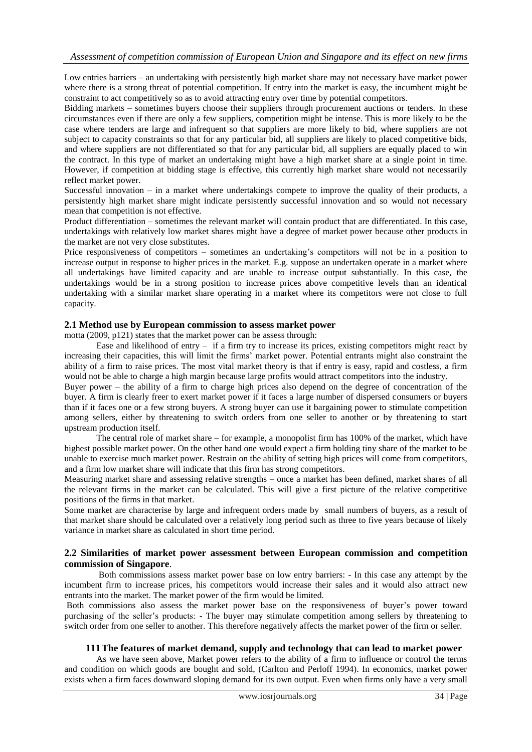Low entries barriers – an undertaking with persistently high market share may not necessary have market power where there is a strong threat of potential competition. If entry into the market is easy, the incumbent might be constraint to act competitively so as to avoid attracting entry over time by potential competitors.

Bidding markets – sometimes buyers choose their suppliers through procurement auctions or tenders. In these circumstances even if there are only a few suppliers, competition might be intense. This is more likely to be the case where tenders are large and infrequent so that suppliers are more likely to bid, where suppliers are not subject to capacity constraints so that for any particular bid, all suppliers are likely to placed competitive bids, and where suppliers are not differentiated so that for any particular bid, all suppliers are equally placed to win the contract. In this type of market an undertaking might have a high market share at a single point in time. However, if competition at bidding stage is effective, this currently high market share would not necessarily reflect market power.

Successful innovation – in a market where undertakings compete to improve the quality of their products, a persistently high market share might indicate persistently successful innovation and so would not necessary mean that competition is not effective.

Product differentiation – sometimes the relevant market will contain product that are differentiated. In this case, undertakings with relatively low market shares might have a degree of market power because other products in the market are not very close substitutes.

Price responsiveness of competitors – sometimes an undertaking's competitors will not be in a position to increase output in response to higher prices in the market. E.g. suppose an undertaken operate in a market where all undertakings have limited capacity and are unable to increase output substantially. In this case, the undertakings would be in a strong position to increase prices above competitive levels than an identical undertaking with a similar market share operating in a market where its competitors were not close to full capacity.

# **2.1 Method use by European commission to assess market power**

motta (2009, p121) states that the market power can be assess through:

Ease and likelihood of entry – if a firm try to increase its prices, existing competitors might react by increasing their capacities, this will limit the firms' market power. Potential entrants might also constraint the ability of a firm to raise prices. The most vital market theory is that if entry is easy, rapid and costless, a firm would not be able to charge a high margin because large profits would attract competitors into the industry.

Buyer power – the ability of a firm to charge high prices also depend on the degree of concentration of the buyer. A firm is clearly freer to exert market power if it faces a large number of dispersed consumers or buyers than if it faces one or a few strong buyers. A strong buyer can use it bargaining power to stimulate competition among sellers, either by threatening to switch orders from one seller to another or by threatening to start upstream production itself.

The central role of market share – for example, a monopolist firm has 100% of the market, which have highest possible market power. On the other hand one would expect a firm holding tiny share of the market to be unable to exercise much market power. Restrain on the ability of setting high prices will come from competitors, and a firm low market share will indicate that this firm has strong competitors.

Measuring market share and assessing relative strengths – once a market has been defined, market shares of all the relevant firms in the market can be calculated. This will give a first picture of the relative competitive positions of the firms in that market.

Some market are characterise by large and infrequent orders made by small numbers of buyers, as a result of that market share should be calculated over a relatively long period such as three to five years because of likely variance in market share as calculated in short time period.

# **2.2 Similarities of market power assessment between European commission and competition commission of Singapore**.

Both commissions assess market power base on low entry barriers: - In this case any attempt by the incumbent firm to increase prices, his competitors would increase their sales and it would also attract new entrants into the market. The market power of the firm would be limited.

Both commissions also assess the market power base on the responsiveness of buyer's power toward purchasing of the seller's products: - The buyer may stimulate competition among sellers by threatening to switch order from one seller to another. This therefore negatively affects the market power of the firm or seller.

# **111The features of market demand, supply and technology that can lead to market power**

As we have seen above, Market power refers to the ability of a firm to influence or control the terms and condition on which goods are bought and sold, (Carlton and Perloff 1994). In economics, market power exists when a firm faces downward sloping demand for its own output. Even when firms only have a very small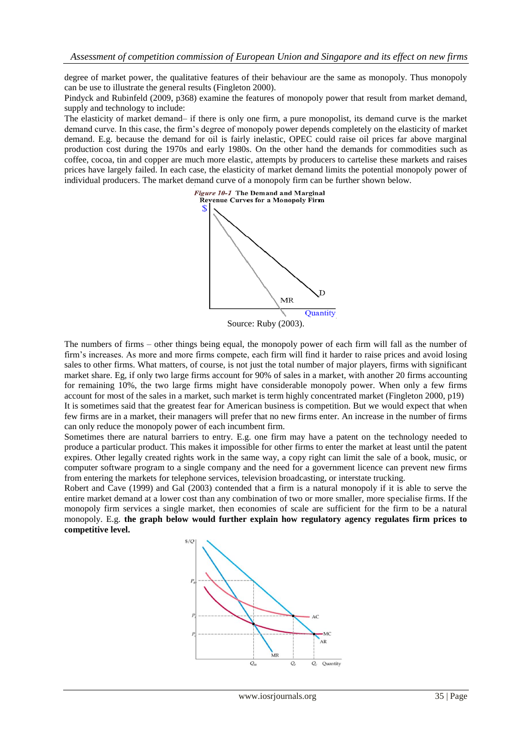degree of market power, the qualitative features of their behaviour are the same as monopoly. Thus monopoly can be use to illustrate the general results (Fingleton 2000).

Pindyck and Rubinfeld (2009, p368) examine the features of monopoly power that result from market demand, supply and technology to include:

The elasticity of market demand– if there is only one firm, a pure monopolist, its demand curve is the market demand curve. In this case, the firm's degree of monopoly power depends completely on the elasticity of market demand. E.g. because the demand for oil is fairly inelastic, OPEC could raise oil prices far above marginal production cost during the 1970s and early 1980s. On the other hand the demands for commodities such as coffee, cocoa, tin and copper are much more elastic, attempts by producers to cartelise these markets and raises prices have largely failed. In each case, the elasticity of market demand limits the potential monopoly power of individual producers. The market demand curve of a monopoly firm can be further shown below.



The numbers of firms – other things being equal, the monopoly power of each firm will fall as the number of firm's increases. As more and more firms compete, each firm will find it harder to raise prices and avoid losing sales to other firms. What matters, of course, is not just the total number of major players, firms with significant market share. Eg, if only two large firms account for 90% of sales in a market, with another 20 firms accounting for remaining 10%, the two large firms might have considerable monopoly power. When only a few firms account for most of the sales in a market, such market is term highly concentrated market (Fingleton 2000, p19) It is sometimes said that the greatest fear for American business is competition. But we would expect that when few firms are in a market, their managers will prefer that no new firms enter. An increase in the number of firms can only reduce the monopoly power of each incumbent firm.

Sometimes there are natural barriers to entry. E.g. one firm may have a patent on the technology needed to produce a particular product. This makes it impossible for other firms to enter the market at least until the patent expires. Other legally created rights work in the same way, a copy right can limit the sale of a book, music, or computer software program to a single company and the need for a government licence can prevent new firms from entering the markets for telephone services, television broadcasting, or interstate trucking.

Robert and Cave (1999) and Gal (2003) contended that a firm is a natural monopoly if it is able to serve the entire market demand at a lower cost than any combination of two or more smaller, more specialise firms. If the monopoly firm services a single market, then economies of scale are sufficient for the firm to be a natural monopoly. E.g. **the graph below would further explain how regulatory agency regulates firm prices to competitive level.**

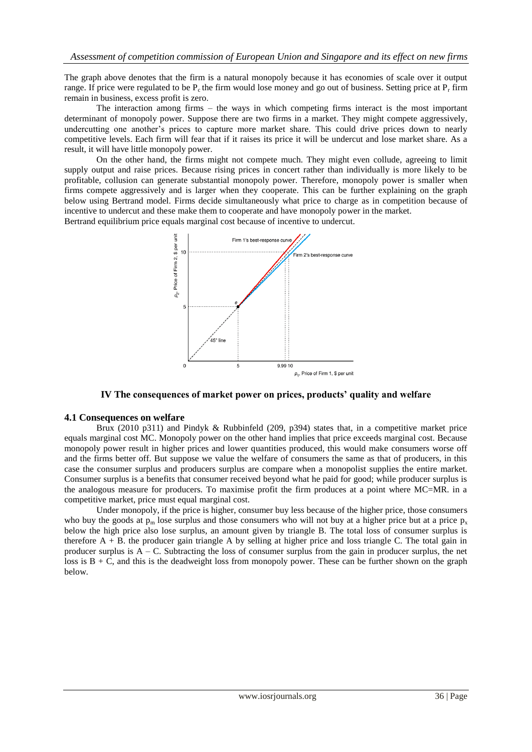The graph above denotes that the firm is a natural monopoly because it has economies of scale over it output range. If price were regulated to be  $P_c$  the firm would lose money and go out of business. Setting price at  $P<sub>r</sub>$  firm remain in business, excess profit is zero.

The interaction among firms – the ways in which competing firms interact is the most important determinant of monopoly power. Suppose there are two firms in a market. They might compete aggressively, undercutting one another's prices to capture more market share. This could drive prices down to nearly competitive levels. Each firm will fear that if it raises its price it will be undercut and lose market share. As a result, it will have little monopoly power.

On the other hand, the firms might not compete much. They might even collude, agreeing to limit supply output and raise prices. Because rising prices in concert rather than individually is more likely to be profitable, collusion can generate substantial monopoly power. Therefore, monopoly power is smaller when firms compete aggressively and is larger when they cooperate. This can be further explaining on the graph below using Bertrand model. Firms decide simultaneously what price to charge as in competition because of incentive to undercut and these make them to cooperate and have monopoly power in the market. Bertrand equilibrium price equals marginal cost because of incentive to undercut.



**IV The consequences of market power on prices, products' quality and welfare**

#### **4.1 Consequences on welfare**

Brux (2010 p311) and Pindyk & Rubbinfeld (209, p394) states that, in a competitive market price equals marginal cost MC. Monopoly power on the other hand implies that price exceeds marginal cost. Because monopoly power result in higher prices and lower quantities produced, this would make consumers worse off and the firms better off. But suppose we value the welfare of consumers the same as that of producers, in this case the consumer surplus and producers surplus are compare when a monopolist supplies the entire market. Consumer surplus is a benefits that consumer received beyond what he paid for good; while producer surplus is the analogous measure for producers. To maximise profit the firm produces at a point where MC=MR. in a competitive market, price must equal marginal cost.

Under monopoly, if the price is higher, consumer buy less because of the higher price, those consumers who buy the goods at  $p_m$  lose surplus and those consumers who will not buy at a higher price but at a price  $p_x$ below the high price also lose surplus, an amount given by triangle B. The total loss of consumer surplus is therefore A + B. the producer gain triangle A by selling at higher price and loss triangle C. The total gain in producer surplus is A – C. Subtracting the loss of consumer surplus from the gain in producer surplus, the net loss is  $B + C$ , and this is the deadweight loss from monopoly power. These can be further shown on the graph below.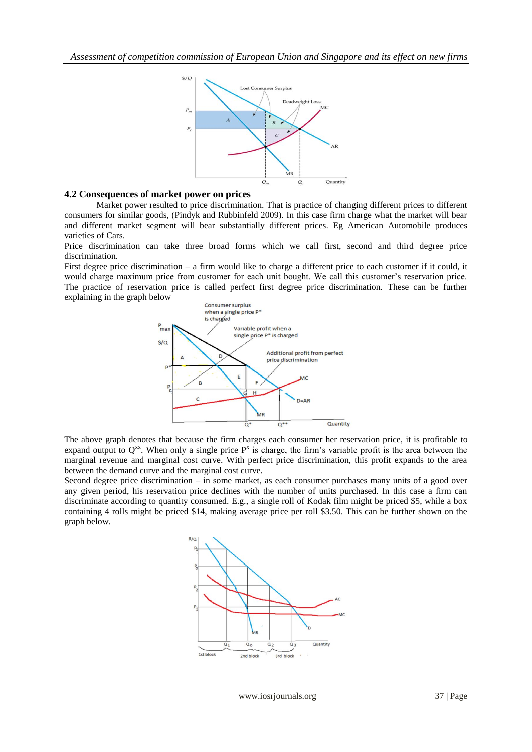

# **4.2 Consequences of market power on prices**

Market power resulted to price discrimination. That is practice of changing different prices to different consumers for similar goods, (Pindyk and Rubbinfeld 2009). In this case firm charge what the market will bear and different market segment will bear substantially different prices. Eg American Automobile produces varieties of Cars.

Price discrimination can take three broad forms which we call first, second and third degree price discrimination.

First degree price discrimination – a firm would like to charge a different price to each customer if it could, it would charge maximum price from customer for each unit bought. We call this customer's reservation price. The practice of reservation price is called perfect first degree price discrimination. These can be further explaining in the graph below



The above graph denotes that because the firm charges each consumer her reservation price, it is profitable to expand output to  $Q^{xx}$ . When only a single price  $P^x$  is charge, the firm's variable profit is the area between the marginal revenue and marginal cost curve. With perfect price discrimination, this profit expands to the area between the demand curve and the marginal cost curve.

Second degree price discrimination – in some market, as each consumer purchases many units of a good over any given period, his reservation price declines with the number of units purchased. In this case a firm can discriminate according to quantity consumed. E.g., a single roll of Kodak film might be priced \$5, while a box containing 4 rolls might be priced \$14, making average price per roll \$3.50. This can be further shown on the graph below.

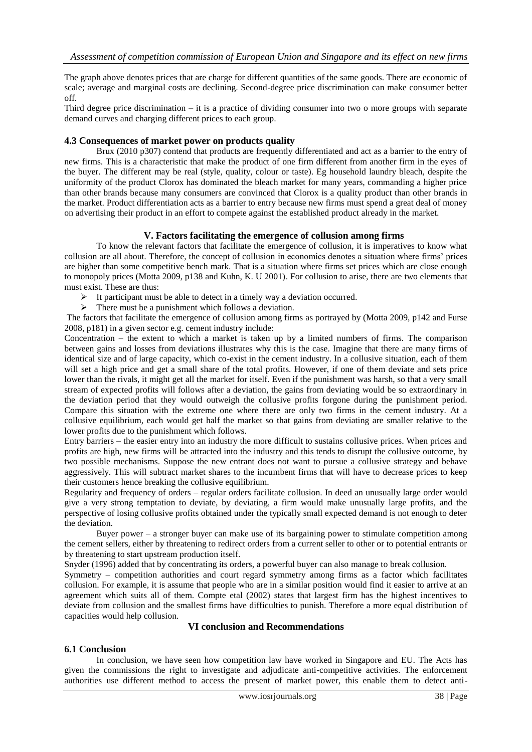The graph above denotes prices that are charge for different quantities of the same goods. There are economic of scale; average and marginal costs are declining. Second-degree price discrimination can make consumer better off.

Third degree price discrimination – it is a practice of dividing consumer into two o more groups with separate demand curves and charging different prices to each group.

# **4.3 Consequences of market power on products quality**

Brux (2010 p307) contend that products are frequently differentiated and act as a barrier to the entry of new firms. This is a characteristic that make the product of one firm different from another firm in the eyes of the buyer. The different may be real (style, quality, colour or taste). Eg household laundry bleach, despite the uniformity of the product Clorox has dominated the bleach market for many years, commanding a higher price than other brands because many consumers are convinced that Clorox is a quality product than other brands in the market. Product differentiation acts as a barrier to entry because new firms must spend a great deal of money on advertising their product in an effort to compete against the established product already in the market.

# **V. Factors facilitating the emergence of collusion among firms**

To know the relevant factors that facilitate the emergence of collusion, it is imperatives to know what collusion are all about. Therefore, the concept of collusion in economics denotes a situation where firms' prices are higher than some competitive bench mark. That is a situation where firms set prices which are close enough to monopoly prices (Motta 2009, p138 and Kuhn, K. U 2001). For collusion to arise, there are two elements that must exist. These are thus:

- It participant must be able to detect in a timely way a deviation occurred.
- $\triangleright$  There must be a punishment which follows a deviation.

The factors that facilitate the emergence of collusion among firms as portrayed by (Motta 2009, p142 and Furse 2008, p181) in a given sector e.g. cement industry include:

Concentration – the extent to which a market is taken up by a limited numbers of firms. The comparison between gains and losses from deviations illustrates why this is the case. Imagine that there are many firms of identical size and of large capacity, which co-exist in the cement industry. In a collusive situation, each of them will set a high price and get a small share of the total profits. However, if one of them deviate and sets price lower than the rivals, it might get all the market for itself. Even if the punishment was harsh, so that a very small stream of expected profits will follows after a deviation, the gains from deviating would be so extraordinary in the deviation period that they would outweigh the collusive profits forgone during the punishment period. Compare this situation with the extreme one where there are only two firms in the cement industry. At a collusive equilibrium, each would get half the market so that gains from deviating are smaller relative to the lower profits due to the punishment which follows.

Entry barriers – the easier entry into an industry the more difficult to sustains collusive prices. When prices and profits are high, new firms will be attracted into the industry and this tends to disrupt the collusive outcome, by two possible mechanisms. Suppose the new entrant does not want to pursue a collusive strategy and behave aggressively. This will subtract market shares to the incumbent firms that will have to decrease prices to keep their customers hence breaking the collusive equilibrium.

Regularity and frequency of orders – regular orders facilitate collusion. In deed an unusually large order would give a very strong temptation to deviate, by deviating, a firm would make unusually large profits, and the perspective of losing collusive profits obtained under the typically small expected demand is not enough to deter the deviation.

Buyer power – a stronger buyer can make use of its bargaining power to stimulate competition among the cement sellers, either by threatening to redirect orders from a current seller to other or to potential entrants or by threatening to start upstream production itself.

Snyder (1996) added that by concentrating its orders, a powerful buyer can also manage to break collusion.

Symmetry – competition authorities and court regard symmetry among firms as a factor which facilitates collusion. For example, it is assume that people who are in a similar position would find it easier to arrive at an agreement which suits all of them. Compte etal (2002) states that largest firm has the highest incentives to deviate from collusion and the smallest firms have difficulties to punish. Therefore a more equal distribution of capacities would help collusion.

# **VI conclusion and Recommendations**

# **6.1 Conclusion**

In conclusion, we have seen how competition law have worked in Singapore and EU. The Acts has given the commissions the right to investigate and adjudicate anti-competitive activities. The enforcement authorities use different method to access the present of market power, this enable them to detect anti